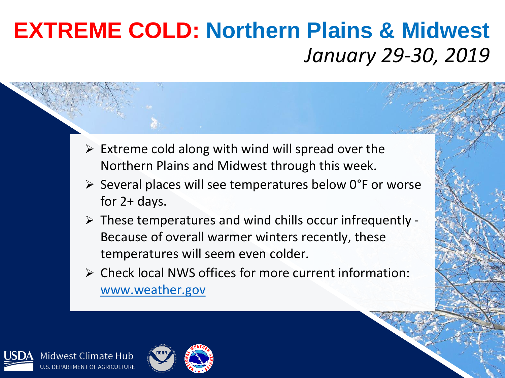## **EXTREME COLD: Northern Plains & Midwest** *January 29-30, 2019*

- $\triangleright$  Extreme cold along with wind will spread over the Northern Plains and Midwest through this week.
- ➢ Several places will see temperatures below 0°F or worse for 2+ days.
- $\triangleright$  These temperatures and wind chills occur infrequently -Because of overall warmer winters recently, these temperatures will seem even colder.
- ➢ Check local NWS offices for more current information: [www.weather.gov](http://www.weather.gov/)



Midwest Climate Hub J.S. DEPARTMENT OF AGRICULTURE

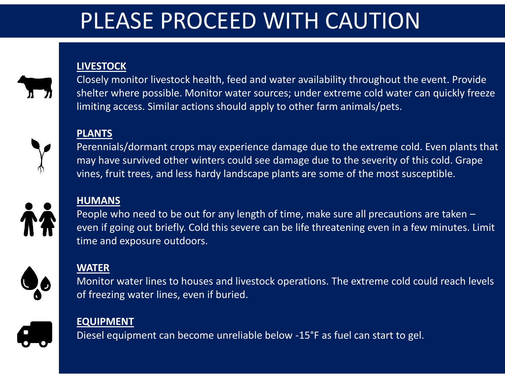## PLEASE PROCEED WITH CAUTION

#### **LIVESTOCK**



Closely monitor livestock health, feed and water availability throughout the event. Provide shelter where possible. Monitor water sources; under extreme cold water can quickly freeze limiting access. Similar actions should apply to other farm animals/pets.

#### **PLANTS**



Perennials/dormant crops may experience damage due to the extreme cold. Even plants that may have survived other winters could see damage due to the severity of this cold. Grape vines, fruit trees, and less hardy landscape plants are some of the most susceptible.

#### **HUMANS**

People who need to be out for any length of time, make sure all precautions are taken – even if going out briefly. Cold this severe can be life threatening even in a few minutes. Limit time and exposure outdoors.



#### **WATER**

Monitor water lines to houses and livestock operations. The extreme cold could reach levels of freezing water lines, even if buried.

#### **EQUIPMENT**

Diesel equipment can become unreliable below -15°F as fuel can start to gel.